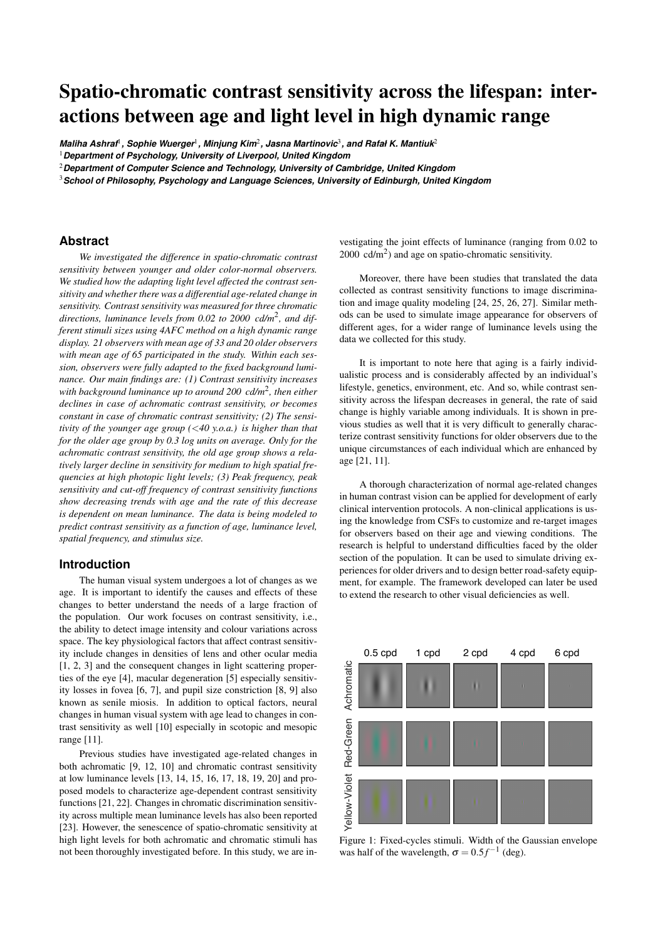# Spatio-chromatic contrast sensitivity across the lifespan: interactions between age and light level in high dynamic range

 $\,$  Maliha Ashraf $^{\rm l}$  , Sophie Wuerger $^{\rm l}$  , Minjung Kim $^{\rm 2}$  , Jasna Martinovic $^{\rm 3}$  , and Rafał K. Mantiuk $^{\rm 2}$ 

<sup>1</sup>*Department of Psychology, University of Liverpool, United Kingdom*

<sup>2</sup>*Department of Computer Science and Technology, University of Cambridge, United Kingdom*

<sup>3</sup>*School of Philosophy, Psychology and Language Sciences, University of Edinburgh, United Kingdom*

## **Abstract**

*We investigated the difference in spatio-chromatic contrast sensitivity between younger and older color-normal observers. We studied how the adapting light level affected the contrast sensitivity and whether there was a differential age-related change in sensitivity. Contrast sensitivity was measured for three chromatic directions, luminance levels from 0.02 to 2000 cd/m*<sup>2</sup> *, and different stimuli sizes using 4AFC method on a high dynamic range display. 21 observers with mean age of 33 and 20 older observers with mean age of 65 participated in the study. Within each session, observers were fully adapted to the fixed background luminance. Our main findings are: (1) Contrast sensitivity increases with background luminance up to around 200 cd/m*<sup>2</sup> *, then either declines in case of achromatic contrast sensitivity, or becomes constant in case of chromatic contrast sensitivity; (2) The sensitivity of the younger age group (*<*40 y.o.a.) is higher than that for the older age group by 0.3 log units on average. Only for the achromatic contrast sensitivity, the old age group shows a relatively larger decline in sensitivity for medium to high spatial frequencies at high photopic light levels; (3) Peak frequency, peak sensitivity and cut-off frequency of contrast sensitivity functions show decreasing trends with age and the rate of this decrease is dependent on mean luminance. The data is being modeled to predict contrast sensitivity as a function of age, luminance level, spatial frequency, and stimulus size.*

## **Introduction**

The human visual system undergoes a lot of changes as we age. It is important to identify the causes and effects of these changes to better understand the needs of a large fraction of the population. Our work focuses on contrast sensitivity, i.e., the ability to detect image intensity and colour variations across space. The key physiological factors that affect contrast sensitivity include changes in densities of lens and other ocular media [1, 2, 3] and the consequent changes in light scattering properties of the eye [4], macular degeneration [5] especially sensitivity losses in fovea [6, 7], and pupil size constriction [8, 9] also known as senile miosis. In addition to optical factors, neural changes in human visual system with age lead to changes in contrast sensitivity as well [10] especially in scotopic and mesopic range [11].

Previous studies have investigated age-related changes in both achromatic [9, 12, 10] and chromatic contrast sensitivity at low luminance levels [13, 14, 15, 16, 17, 18, 19, 20] and proposed models to characterize age-dependent contrast sensitivity functions [21, 22]. Changes in chromatic discrimination sensitivity across multiple mean luminance levels has also been reported [23]. However, the senescence of spatio-chromatic sensitivity at high light levels for both achromatic and chromatic stimuli has not been thoroughly investigated before. In this study, we are investigating the joint effects of luminance (ranging from 0.02 to  $2000 \text{ cd/m}^2$ ) and age on spatio-chromatic sensitivity.

Moreover, there have been studies that translated the data collected as contrast sensitivity functions to image discrimination and image quality modeling [24, 25, 26, 27]. Similar methods can be used to simulate image appearance for observers of different ages, for a wider range of luminance levels using the data we collected for this study.

It is important to note here that aging is a fairly individualistic process and is considerably affected by an individual's lifestyle, genetics, environment, etc. And so, while contrast sensitivity across the lifespan decreases in general, the rate of said change is highly variable among individuals. It is shown in previous studies as well that it is very difficult to generally characterize contrast sensitivity functions for older observers due to the unique circumstances of each individual which are enhanced by age [21, 11].

A thorough characterization of normal age-related changes in human contrast vision can be applied for development of early clinical intervention protocols. A non-clinical applications is using the knowledge from CSFs to customize and re-target images for observers based on their age and viewing conditions. The research is helpful to understand difficulties faced by the older section of the population. It can be used to simulate driving experiences for older drivers and to design better road-safety equipment, for example. The framework developed can later be used to extend the research to other visual deficiencies as well.



Figure 1: Fixed-cycles stimuli. Width of the Gaussian envelope was half of the wavelength,  $\sigma = 0.5 f^{-1}$  (deg).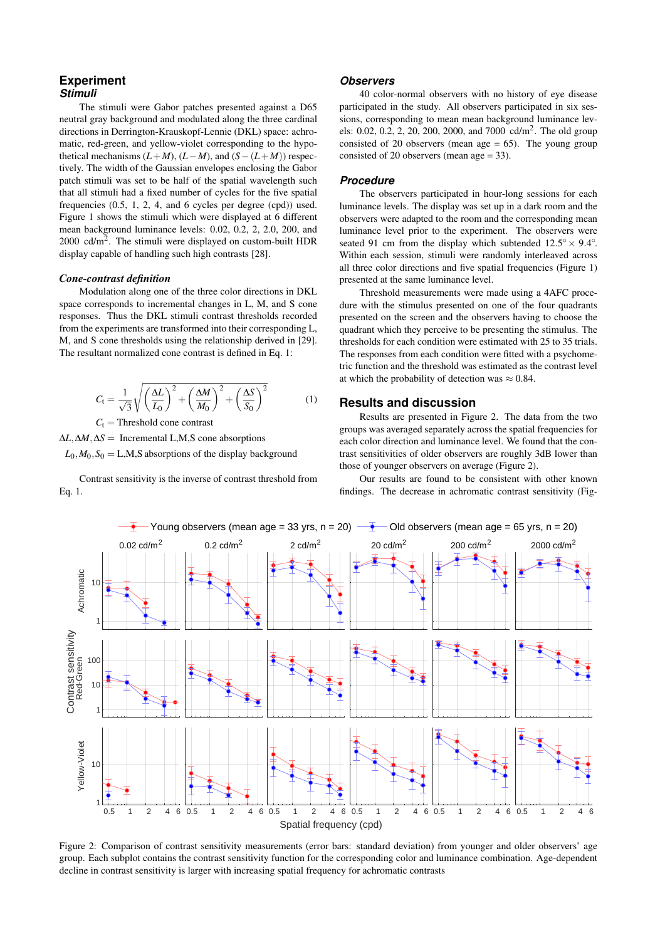## **Experiment** *Stimuli*

The stimuli were Gabor patches presented against a D65 neutral gray background and modulated along the three cardinal directions in Derrington-Krauskopf-Lennie (DKL) space: achromatic, red-green, and yellow-violet corresponding to the hypothetical mechanisms  $(L+M)$ ,  $(L-M)$ , and  $(S-(L+M))$  respectively. The width of the Gaussian envelopes enclosing the Gabor patch stimuli was set to be half of the spatial wavelength such that all stimuli had a fixed number of cycles for the five spatial frequencies (0.5, 1, 2, 4, and 6 cycles per degree (cpd)) used. Figure 1 shows the stimuli which were displayed at 6 different mean background luminance levels: 0.02, 0.2, 2, 2.0, 200, and 2000 cd/ $m^2$ . The stimuli were displayed on custom-built HDR display capable of handling such high contrasts [28].

## *Cone-contrast definition*

Modulation along one of the three color directions in DKL space corresponds to incremental changes in L, M, and S cone responses. Thus the DKL stimuli contrast thresholds recorded from the experiments are transformed into their corresponding L, M, and S cone thresholds using the relationship derived in [29]. The resultant normalized cone contrast is defined in Eq. 1:

$$
C_{\rm t} = \frac{1}{\sqrt{3}} \sqrt{\left(\frac{\Delta L}{L_0}\right)^2 + \left(\frac{\Delta M}{M_0}\right)^2 + \left(\frac{\Delta S}{S_0}\right)^2} \tag{1}
$$

 $C_t$  = Threshold cone contrast

∆*L*,∆*M*,∆*S* = Incremental L,M,S cone absorptions

 $L_0$ ,  $M_0$ ,  $S_0 = L$ , M, S absorptions of the display background

Contrast sensitivity is the inverse of contrast threshold from Eq. 1.

### *Observers*

40 color-normal observers with no history of eye disease participated in the study. All observers participated in six sessions, corresponding to mean mean background luminance levels: 0.02, 0.2, 2, 20, 200, 2000, and 7000 cd/m<sup>2</sup>. The old group consisted of 20 observers (mean age  $= 65$ ). The young group consisted of 20 observers (mean age = 33).

#### *Procedure*

The observers participated in hour-long sessions for each luminance levels. The display was set up in a dark room and the observers were adapted to the room and the corresponding mean luminance level prior to the experiment. The observers were seated 91 cm from the display which subtended  $12.5^{\circ} \times 9.4^{\circ}$ . Within each session, stimuli were randomly interleaved across all three color directions and five spatial frequencies (Figure 1) presented at the same luminance level.

Threshold measurements were made using a 4AFC procedure with the stimulus presented on one of the four quadrants presented on the screen and the observers having to choose the quadrant which they perceive to be presenting the stimulus. The thresholds for each condition were estimated with 25 to 35 trials. The responses from each condition were fitted with a psychometric function and the threshold was estimated as the contrast level at which the probability of detection was  $\approx 0.84$ .

## **Results and discussion**

Results are presented in Figure 2. The data from the two groups was averaged separately across the spatial frequencies for each color direction and luminance level. We found that the contrast sensitivities of older observers are roughly 3dB lower than those of younger observers on average (Figure 2).

Our results are found to be consistent with other known findings. The decrease in achromatic contrast sensitivity (Fig-



Figure 2: Comparison of contrast sensitivity measurements (error bars: standard deviation) from younger and older observers' age group. Each subplot contains the contrast sensitivity function for the corresponding color and luminance combination. Age-dependent decline in contrast sensitivity is larger with increasing spatial frequency for achromatic contrasts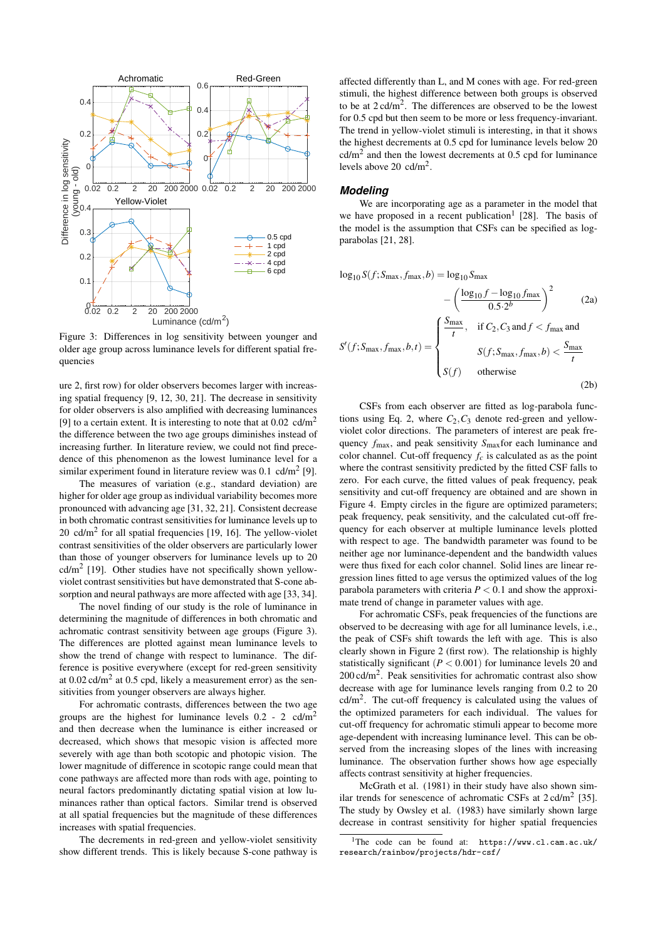

Figure 3: Differences in log sensitivity between younger and older age group across luminance levels for different spatial frequencies

ure 2, first row) for older observers becomes larger with increasing spatial frequency [9, 12, 30, 21]. The decrease in sensitivity for older observers is also amplified with decreasing luminances [9] to a certain extent. It is interesting to note that at  $0.02 \text{ cd/m}^2$ the difference between the two age groups diminishes instead of increasing further. In literature review, we could not find precedence of this phenomenon as the lowest luminance level for a similar experiment found in literature review was  $0.1 \text{ cd/m}^2$  [9].

The measures of variation (e.g., standard deviation) are higher for older age group as individual variability becomes more pronounced with advancing age [31, 32, 21]. Consistent decrease in both chromatic contrast sensitivities for luminance levels up to  $20 \text{ cd/m}^2$  for all spatial frequencies [19, 16]. The yellow-violet contrast sensitivities of the older observers are particularly lower than those of younger observers for luminance levels up to 20  $\text{cd/m}^2$  [19]. Other studies have not specifically shown yellowviolet contrast sensitivities but have demonstrated that S-cone absorption and neural pathways are more affected with age [33, 34].

The novel finding of our study is the role of luminance in determining the magnitude of differences in both chromatic and achromatic contrast sensitivity between age groups (Figure 3). The differences are plotted against mean luminance levels to show the trend of change with respect to luminance. The difference is positive everywhere (except for red-green sensitivity at 0.02 cd/m<sup>2</sup> at 0.5 cpd, likely a measurement error) as the sensitivities from younger observers are always higher.

For achromatic contrasts, differences between the two age groups are the highest for luminance levels  $0.2 - 2$  cd/m<sup>2</sup> and then decrease when the luminance is either increased or decreased, which shows that mesopic vision is affected more severely with age than both scotopic and photopic vision. The lower magnitude of difference in scotopic range could mean that cone pathways are affected more than rods with age, pointing to neural factors predominantly dictating spatial vision at low luminances rather than optical factors. Similar trend is observed at all spatial frequencies but the magnitude of these differences increases with spatial frequencies.

The decrements in red-green and yellow-violet sensitivity show different trends. This is likely because S-cone pathway is affected differently than L, and M cones with age. For red-green stimuli, the highest difference between both groups is observed to be at  $2 \text{ cd/m}^2$ . The differences are observed to be the lowest for 0.5 cpd but then seem to be more or less frequency-invariant. The trend in yellow-violet stimuli is interesting, in that it shows the highest decrements at 0.5 cpd for luminance levels below 20  $\text{cd/m}^2$  and then the lowest decrements at 0.5 cpd for luminance levels above 20 cd/m<sup>2</sup>.

#### *Modeling*

We are incorporating age as a parameter in the model that we have proposed in a recent publication<sup>1</sup> [28]. The basis of the model is the assumption that CSFs can be specified as logparabolas [21, 28].

$$
\log_{10} S(f; S_{\text{max}}, f_{\text{max}}, b) = \log_{10} S_{\text{max}} - \left(\frac{\log_{10} f - \log_{10} f_{\text{max}}}{0.5 \cdot 2^b}\right)^2 \qquad (2a)
$$

$$
S'(f; S_{\text{max}}, f_{\text{max}}, b, t) = \begin{cases} \frac{S_{\text{max}}}{t}, & \text{if } C_2, C_3 \text{ and } f < f_{\text{max}} \text{ and} \\ f(f; S_{\text{max}}, f_{\text{max}}, b) < \frac{S_{\text{max}}}{t} \\ S(f) & \text{otherwise} \end{cases} \qquad (2b)
$$

CSFs from each observer are fitted as log-parabola functions using Eq. 2, where  $C_2$ ,  $C_3$  denote red-green and yellowviolet color directions. The parameters of interest are peak frequency *f*max, and peak sensitivity *S*maxfor each luminance and color channel. Cut-off frequency  $f_c$  is calculated as as the point where the contrast sensitivity predicted by the fitted CSF falls to zero. For each curve, the fitted values of peak frequency, peak sensitivity and cut-off frequency are obtained and are shown in Figure 4. Empty circles in the figure are optimized parameters; peak frequency, peak sensitivity, and the calculated cut-off frequency for each observer at multiple luminance levels plotted with respect to age. The bandwidth parameter was found to be neither age nor luminance-dependent and the bandwidth values were thus fixed for each color channel. Solid lines are linear regression lines fitted to age versus the optimized values of the log parabola parameters with criteria  $P < 0.1$  and show the approximate trend of change in parameter values with age.

For achromatic CSFs, peak frequencies of the functions are observed to be decreasing with age for all luminance levels, i.e., the peak of CSFs shift towards the left with age. This is also clearly shown in Figure 2 (first row). The relationship is highly statistically significant  $(P < 0.001)$  for luminance levels 20 and 200 cd/m<sup>2</sup> . Peak sensitivities for achromatic contrast also show decrease with age for luminance levels ranging from 0.2 to 20  $cd/m<sup>2</sup>$ . The cut-off frequency is calculated using the values of the optimized parameters for each individual. The values for cut-off frequency for achromatic stimuli appear to become more age-dependent with increasing luminance level. This can be observed from the increasing slopes of the lines with increasing luminance. The observation further shows how age especially affects contrast sensitivity at higher frequencies.

McGrath et al. (1981) in their study have also shown similar trends for senescence of achromatic CSFs at  $2 \text{ cd/m}^2$  [35]. The study by Owsley et al. (1983) have similarly shown large decrease in contrast sensitivity for higher spatial frequencies

<sup>1</sup>The code can be found at: https://www.cl.cam.ac.uk/ research/rainbow/projects/hdr-csf/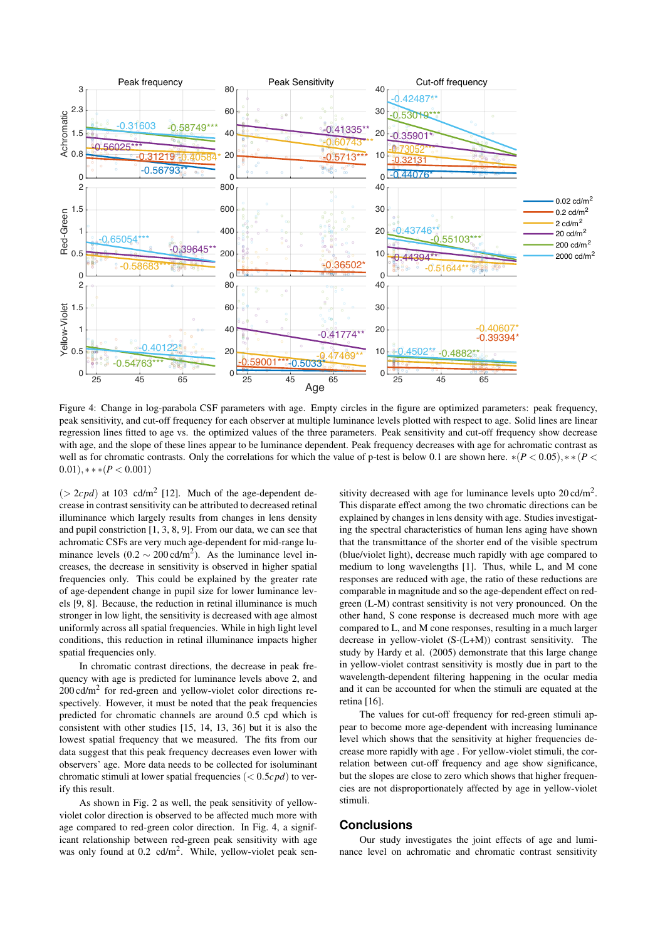

Figure 4: Change in log-parabola CSF parameters with age. Empty circles in the figure are optimized parameters: peak frequency, peak sensitivity, and cut-off frequency for each observer at multiple luminance levels plotted with respect to age. Solid lines are linear regression lines fitted to age vs. the optimized values of the three parameters. Peak sensitivity and cut-off frequency show decrease with age, and the slope of these lines appear to be luminance dependent. Peak frequency decreases with age for achromatic contrast as well as for chromatic contrasts. Only the correlations for which the value of p-test is below 0.1 are shown here.  $*(P < 0.05)$ ,  $*(P < 0.05)$  $(0.01), **$  \*  $(P < 0.001)$ 

 $($  > 2*cpd*) at 103 cd/m<sup>2</sup> [12]. Much of the age-dependent decrease in contrast sensitivity can be attributed to decreased retinal illuminance which largely results from changes in lens density and pupil constriction [1, 3, 8, 9]. From our data, we can see that achromatic CSFs are very much age-dependent for mid-range luminance levels  $(0.2 \sim 200 \text{ cd/m}^2)$ . As the luminance level increases, the decrease in sensitivity is observed in higher spatial frequencies only. This could be explained by the greater rate of age-dependent change in pupil size for lower luminance levels [9, 8]. Because, the reduction in retinal illuminance is much stronger in low light, the sensitivity is decreased with age almost uniformly across all spatial frequencies. While in high light level conditions, this reduction in retinal illuminance impacts higher spatial frequencies only.

In chromatic contrast directions, the decrease in peak frequency with age is predicted for luminance levels above 2, and  $200 \text{ cd/m}^2$  for red-green and yellow-violet color directions respectively. However, it must be noted that the peak frequencies predicted for chromatic channels are around 0.5 cpd which is consistent with other studies [15, 14, 13, 36] but it is also the lowest spatial frequency that we measured. The fits from our data suggest that this peak frequency decreases even lower with observers' age. More data needs to be collected for isoluminant chromatic stimuli at lower spatial frequencies (< 0.5*cpd*) to verify this result.

As shown in Fig. 2 as well, the peak sensitivity of yellowviolet color direction is observed to be affected much more with age compared to red-green color direction. In Fig. 4, a significant relationship between red-green peak sensitivity with age was only found at 0.2 cd/m<sup>2</sup>. While, yellow-violet peak sensitivity decreased with age for luminance levels upto  $20 \text{ cd/m}^2$ . This disparate effect among the two chromatic directions can be explained by changes in lens density with age. Studies investigating the spectral characteristics of human lens aging have shown that the transmittance of the shorter end of the visible spectrum (blue/violet light), decrease much rapidly with age compared to medium to long wavelengths [1]. Thus, while L, and M cone responses are reduced with age, the ratio of these reductions are comparable in magnitude and so the age-dependent effect on redgreen (L-M) contrast sensitivity is not very pronounced. On the other hand, S cone response is decreased much more with age compared to L, and M cone responses, resulting in a much larger decrease in yellow-violet (S-(L+M)) contrast sensitivity. The study by Hardy et al. (2005) demonstrate that this large change in yellow-violet contrast sensitivity is mostly due in part to the wavelength-dependent filtering happening in the ocular media and it can be accounted for when the stimuli are equated at the retina [16].

The values for cut-off frequency for red-green stimuli appear to become more age-dependent with increasing luminance level which shows that the sensitivity at higher frequencies decrease more rapidly with age . For yellow-violet stimuli, the correlation between cut-off frequency and age show significance, but the slopes are close to zero which shows that higher frequencies are not disproportionately affected by age in yellow-violet stimuli.

## **Conclusions**

Our study investigates the joint effects of age and luminance level on achromatic and chromatic contrast sensitivity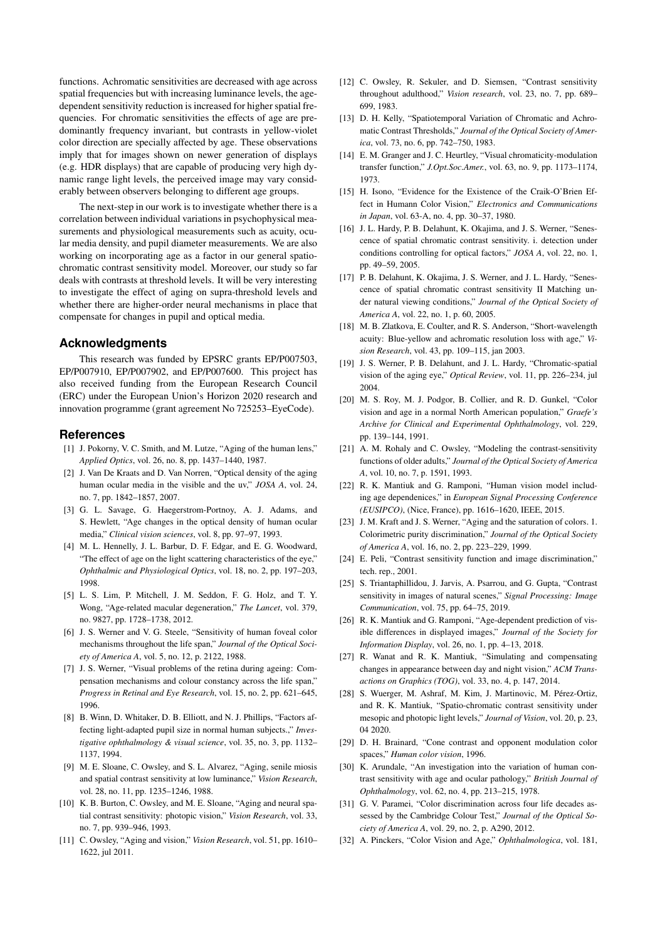functions. Achromatic sensitivities are decreased with age across spatial frequencies but with increasing luminance levels, the agedependent sensitivity reduction is increased for higher spatial frequencies. For chromatic sensitivities the effects of age are predominantly frequency invariant, but contrasts in yellow-violet color direction are specially affected by age. These observations imply that for images shown on newer generation of displays (e.g. HDR displays) that are capable of producing very high dynamic range light levels, the perceived image may vary considerably between observers belonging to different age groups.

The next-step in our work is to investigate whether there is a correlation between individual variations in psychophysical measurements and physiological measurements such as acuity, ocular media density, and pupil diameter measurements. We are also working on incorporating age as a factor in our general spatiochromatic contrast sensitivity model. Moreover, our study so far deals with contrasts at threshold levels. It will be very interesting to investigate the effect of aging on supra-threshold levels and whether there are higher-order neural mechanisms in place that compensate for changes in pupil and optical media.

## **Acknowledgments**

This research was funded by EPSRC grants EP/P007503, EP/P007910, EP/P007902, and EP/P007600. This project has also received funding from the European Research Council (ERC) under the European Union's Horizon 2020 research and innovation programme (grant agreement No 725253–EyeCode).

## **References**

- [1] J. Pokorny, V. C. Smith, and M. Lutze, "Aging of the human lens," *Applied Optics*, vol. 26, no. 8, pp. 1437–1440, 1987.
- [2] J. Van De Kraats and D. Van Norren, "Optical density of the aging human ocular media in the visible and the uv," *JOSA A*, vol. 24, no. 7, pp. 1842–1857, 2007.
- [3] G. L. Savage, G. Haegerstrom-Portnoy, A. J. Adams, and S. Hewlett, "Age changes in the optical density of human ocular media," *Clinical vision sciences*, vol. 8, pp. 97–97, 1993.
- [4] M. L. Hennelly, J. L. Barbur, D. F. Edgar, and E. G. Woodward, "The effect of age on the light scattering characteristics of the eye," *Ophthalmic and Physiological Optics*, vol. 18, no. 2, pp. 197–203, 1998.
- [5] L. S. Lim, P. Mitchell, J. M. Seddon, F. G. Holz, and T. Y. Wong, "Age-related macular degeneration," *The Lancet*, vol. 379, no. 9827, pp. 1728–1738, 2012.
- [6] J. S. Werner and V. G. Steele, "Sensitivity of human foveal color mechanisms throughout the life span," *Journal of the Optical Society of America A*, vol. 5, no. 12, p. 2122, 1988.
- [7] J. S. Werner, "Visual problems of the retina during ageing: Compensation mechanisms and colour constancy across the life span," *Progress in Retinal and Eye Research*, vol. 15, no. 2, pp. 621–645, 1996.
- [8] B. Winn, D. Whitaker, D. B. Elliott, and N. J. Phillips, "Factors affecting light-adapted pupil size in normal human subjects.," *Investigative ophthalmology & visual science*, vol. 35, no. 3, pp. 1132– 1137, 1994.
- [9] M. E. Sloane, C. Owsley, and S. L. Alvarez, "Aging, senile miosis and spatial contrast sensitivity at low luminance," *Vision Research*, vol. 28, no. 11, pp. 1235–1246, 1988.
- [10] K. B. Burton, C. Owsley, and M. E. Sloane, "Aging and neural spatial contrast sensitivity: photopic vision," *Vision Research*, vol. 33, no. 7, pp. 939–946, 1993.
- [11] C. Owsley, "Aging and vision," *Vision Research*, vol. 51, pp. 1610– 1622, jul 2011.
- [12] C. Owsley, R. Sekuler, and D. Siemsen, "Contrast sensitivity throughout adulthood," *Vision research*, vol. 23, no. 7, pp. 689– 699, 1983.
- [13] D. H. Kelly, "Spatiotemporal Variation of Chromatic and Achromatic Contrast Thresholds," *Journal of the Optical Society of America*, vol. 73, no. 6, pp. 742–750, 1983.
- [14] E. M. Granger and J. C. Heurtley, "Visual chromaticity-modulation transfer function," *J.Opt.Soc.Amer.*, vol. 63, no. 9, pp. 1173–1174, 1973.
- [15] H. Isono, "Evidence for the Existence of the Craik-O'Brien Effect in Humann Color Vision," *Electronics and Communications in Japan*, vol. 63-A, no. 4, pp. 30–37, 1980.
- [16] J. L. Hardy, P. B. Delahunt, K. Okajima, and J. S. Werner, "Senescence of spatial chromatic contrast sensitivity. i. detection under conditions controlling for optical factors," *JOSA A*, vol. 22, no. 1, pp. 49–59, 2005.
- [17] P. B. Delahunt, K. Okajima, J. S. Werner, and J. L. Hardy, "Senescence of spatial chromatic contrast sensitivity II Matching under natural viewing conditions," *Journal of the Optical Society of America A*, vol. 22, no. 1, p. 60, 2005.
- [18] M. B. Zlatkova, E. Coulter, and R. S. Anderson, "Short-wavelength" acuity: Blue-yellow and achromatic resolution loss with age," *Vision Research*, vol. 43, pp. 109–115, jan 2003.
- [19] J. S. Werner, P. B. Delahunt, and J. L. Hardy, "Chromatic-spatial vision of the aging eye," *Optical Review*, vol. 11, pp. 226–234, jul 2004.
- [20] M. S. Roy, M. J. Podgor, B. Collier, and R. D. Gunkel, "Color vision and age in a normal North American population," *Graefe's Archive for Clinical and Experimental Ophthalmology*, vol. 229, pp. 139–144, 1991.
- [21] A. M. Rohaly and C. Owsley, "Modeling the contrast-sensitivity functions of older adults," *Journal of the Optical Society of America A*, vol. 10, no. 7, p. 1591, 1993.
- [22] R. K. Mantiuk and G. Ramponi, "Human vision model including age dependenices," in *European Signal Processing Conference (EUSIPCO)*, (Nice, France), pp. 1616–1620, IEEE, 2015.
- [23] J. M. Kraft and J. S. Werner, "Aging and the saturation of colors. 1. Colorimetric purity discrimination," *Journal of the Optical Society of America A*, vol. 16, no. 2, pp. 223–229, 1999.
- [24] E. Peli, "Contrast sensitivity function and image discrimination," tech. rep., 2001.
- [25] S. Triantaphillidou, J. Jarvis, A. Psarrou, and G. Gupta, "Contrast" sensitivity in images of natural scenes," *Signal Processing: Image Communication*, vol. 75, pp. 64–75, 2019.
- [26] R. K. Mantiuk and G. Ramponi, "Age-dependent prediction of visible differences in displayed images," *Journal of the Society for Information Display*, vol. 26, no. 1, pp. 4–13, 2018.
- [27] R. Wanat and R. K. Mantiuk, "Simulating and compensating changes in appearance between day and night vision," *ACM Transactions on Graphics (TOG)*, vol. 33, no. 4, p. 147, 2014.
- [28] S. Wuerger, M. Ashraf, M. Kim, J. Martinovic, M. Pérez-Ortiz, and R. K. Mantiuk, "Spatio-chromatic contrast sensitivity under mesopic and photopic light levels," *Journal of Vision*, vol. 20, p. 23, 04 2020.
- [29] D. H. Brainard, "Cone contrast and opponent modulation color spaces," *Human color vision*, 1996.
- [30] K. Arundale, "An investigation into the variation of human contrast sensitivity with age and ocular pathology," *British Journal of Ophthalmology*, vol. 62, no. 4, pp. 213–215, 1978.
- [31] G. V. Paramei, "Color discrimination across four life decades assessed by the Cambridge Colour Test," *Journal of the Optical Society of America A*, vol. 29, no. 2, p. A290, 2012.
- [32] A. Pinckers, "Color Vision and Age," *Ophthalmologica*, vol. 181,